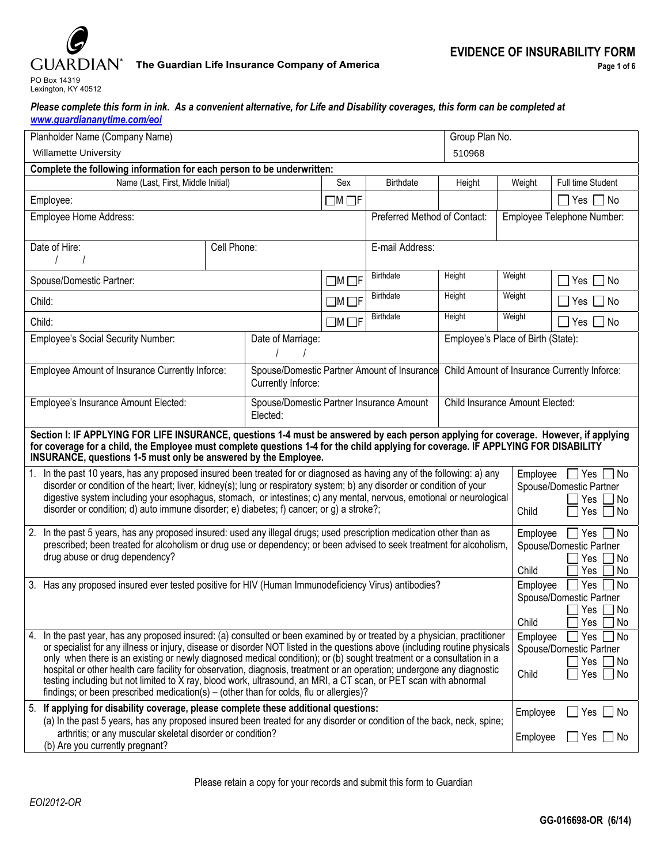

### **GUARDIAN**<sup>\*</sup> The Guardian Life Insurance Company of America

| Please complete this form in ink. As a convenient alternative, for Life and Disability coverages, this form can be completed at |  |  |
|---------------------------------------------------------------------------------------------------------------------------------|--|--|
| www.guardiananytime.com/eoi                                                                                                     |  |  |

| Planholder Name (Company Name)                                                                                                                                                                                                                                                                                                                                                                                                                                                                                                                                                                                                                                                                                             |             |                                                      |                                             |                                              | Group Plan No.                  |                      |                                                                                                  |  |  |  |
|----------------------------------------------------------------------------------------------------------------------------------------------------------------------------------------------------------------------------------------------------------------------------------------------------------------------------------------------------------------------------------------------------------------------------------------------------------------------------------------------------------------------------------------------------------------------------------------------------------------------------------------------------------------------------------------------------------------------------|-------------|------------------------------------------------------|---------------------------------------------|----------------------------------------------|---------------------------------|----------------------|--------------------------------------------------------------------------------------------------|--|--|--|
| <b>Willamette University</b>                                                                                                                                                                                                                                                                                                                                                                                                                                                                                                                                                                                                                                                                                               |             |                                                      |                                             | 510968                                       |                                 |                      |                                                                                                  |  |  |  |
| Complete the following information for each person to be underwritten:                                                                                                                                                                                                                                                                                                                                                                                                                                                                                                                                                                                                                                                     |             |                                                      |                                             |                                              |                                 |                      |                                                                                                  |  |  |  |
| Name (Last, First, Middle Initial)                                                                                                                                                                                                                                                                                                                                                                                                                                                                                                                                                                                                                                                                                         |             |                                                      | Sex                                         | <b>Birthdate</b>                             | Height                          | Weight               | Full time Student                                                                                |  |  |  |
| Employee:                                                                                                                                                                                                                                                                                                                                                                                                                                                                                                                                                                                                                                                                                                                  |             |                                                      | $\Box$ M $\Box$ F                           |                                              |                                 |                      | Yes $\Box$ No                                                                                    |  |  |  |
| Employee Home Address:                                                                                                                                                                                                                                                                                                                                                                                                                                                                                                                                                                                                                                                                                                     |             |                                                      |                                             | Preferred Method of Contact:                 |                                 |                      | Employee Telephone Number:                                                                       |  |  |  |
| Date of Hire:                                                                                                                                                                                                                                                                                                                                                                                                                                                                                                                                                                                                                                                                                                              | Cell Phone: |                                                      |                                             | E-mail Address:                              |                                 |                      |                                                                                                  |  |  |  |
| Spouse/Domestic Partner:                                                                                                                                                                                                                                                                                                                                                                                                                                                                                                                                                                                                                                                                                                   |             |                                                      | $\square$ M $\square$ F                     | <b>Birthdate</b>                             | Height                          | Weight               | Yes $\Box$ No                                                                                    |  |  |  |
| Child:                                                                                                                                                                                                                                                                                                                                                                                                                                                                                                                                                                                                                                                                                                                     |             |                                                      | $\square$ M $\square$ F                     | Birthdate                                    | Height                          | Weight               | Yes $\Box$ No                                                                                    |  |  |  |
| Child:                                                                                                                                                                                                                                                                                                                                                                                                                                                                                                                                                                                                                                                                                                                     |             |                                                      | $\square$ M $\square$ F                     | Birthdate                                    | Height                          | Weight               | Yes $\Box$ No                                                                                    |  |  |  |
| Employee's Social Security Number:<br>Date of Marriage:                                                                                                                                                                                                                                                                                                                                                                                                                                                                                                                                                                                                                                                                    |             |                                                      |                                             | Employee's Place of Birth (State):           |                                 |                      |                                                                                                  |  |  |  |
| <b>Employee Amount of Insurance Currently Inforce:</b><br>Currently Inforce:                                                                                                                                                                                                                                                                                                                                                                                                                                                                                                                                                                                                                                               |             |                                                      | Spouse/Domestic Partner Amount of Insurance | Child Amount of Insurance Currently Inforce: |                                 |                      |                                                                                                  |  |  |  |
| Employee's Insurance Amount Elected:                                                                                                                                                                                                                                                                                                                                                                                                                                                                                                                                                                                                                                                                                       |             | Spouse/Domestic Partner Insurance Amount<br>Elected: |                                             |                                              | Child Insurance Amount Elected: |                      |                                                                                                  |  |  |  |
| Section I: IF APPLYING FOR LIFE INSURANCE, questions 1-4 must be answered by each person applying for coverage. However, if applying<br>for coverage for a child, the Employee must complete questions 1-4 for the child applying for coverage. IF APPLYING FOR DISABILITY<br><b>INSURANCE, questions 1-5 must only be answered by the Employee.</b>                                                                                                                                                                                                                                                                                                                                                                       |             |                                                      |                                             |                                              |                                 |                      |                                                                                                  |  |  |  |
| 1. In the past 10 years, has any proposed insured been treated for or diagnosed as having any of the following: a) any<br>disorder or condition of the heart; liver, kidney(s); lung or respiratory system; b) any disorder or condition of your<br>digestive system including your esophagus, stomach, or intestines; c) any mental, nervous, emotional or neurological<br>disorder or condition; d) auto immune disorder; e) diabetes; f) cancer; or g) a stroke?;                                                                                                                                                                                                                                                       |             |                                                      |                                             |                                              |                                 | Employee<br>Child    | $\Box$ Yes $\Box$ No<br>Spouse/Domestic Partner<br>Yes<br>l No<br>Yes<br>∣No                     |  |  |  |
| 2. In the past 5 years, has any proposed insured: used any illegal drugs; used prescription medication other than as<br>prescribed; been treated for alcoholism or drug use or dependency; or been advised to seek treatment for alcoholism,<br>drug abuse or drug dependency?                                                                                                                                                                                                                                                                                                                                                                                                                                             |             |                                                      |                                             |                                              |                                 |                      | Employee<br>$\Box$ Yes [<br>  No<br>Spouse/Domestic Partner<br>Yes<br>l No<br>Child<br>No<br>Yes |  |  |  |
| 3. Has any proposed insured ever tested positive for HIV (Human Immunodeficiency Virus) antibodies?                                                                                                                                                                                                                                                                                                                                                                                                                                                                                                                                                                                                                        |             |                                                      |                                             |                                              |                                 |                      | No<br>Employee<br>Yes<br>Spouse/Domestic Partner<br>∐ No<br>_l Yes [<br>Yes<br>No                |  |  |  |
| In the past year, has any proposed insured: (a) consulted or been examined by or treated by a physician, practitioner<br>4.<br>or specialist for any illness or injury, disease or disorder NOT listed in the questions above (including routine physicals<br>only when there is an existing or newly diagnosed medical condition); or (b) sought treatment or a consultation in a<br>hospital or other health care facility for observation, diagnosis, treatment or an operation; undergone any diagnostic<br>testing including but not limited to X ray, blood work, ultrasound, an MRI, a CT scan, or PET scan with abnormal<br>findings; or been prescribed medication(s) – (other than for colds, flu or allergies)? |             |                                                      |                                             |                                              |                                 |                      | Employee<br>Yes<br>  No<br>Spouse/Domestic Partner<br>Yes<br>_l No<br>Yes<br>∐ No                |  |  |  |
| 5. If applying for disability coverage, please complete these additional questions:<br>(a) In the past 5 years, has any proposed insured been treated for any disorder or condition of the back, neck, spine;<br>arthritis; or any muscular skeletal disorder or condition?<br>(b) Are you currently pregnant?                                                                                                                                                                                                                                                                                                                                                                                                             |             |                                                      |                                             |                                              |                                 | Employee<br>Employee | ]Yes □ No<br>$\Box$ Yes $\Box$ No                                                                |  |  |  |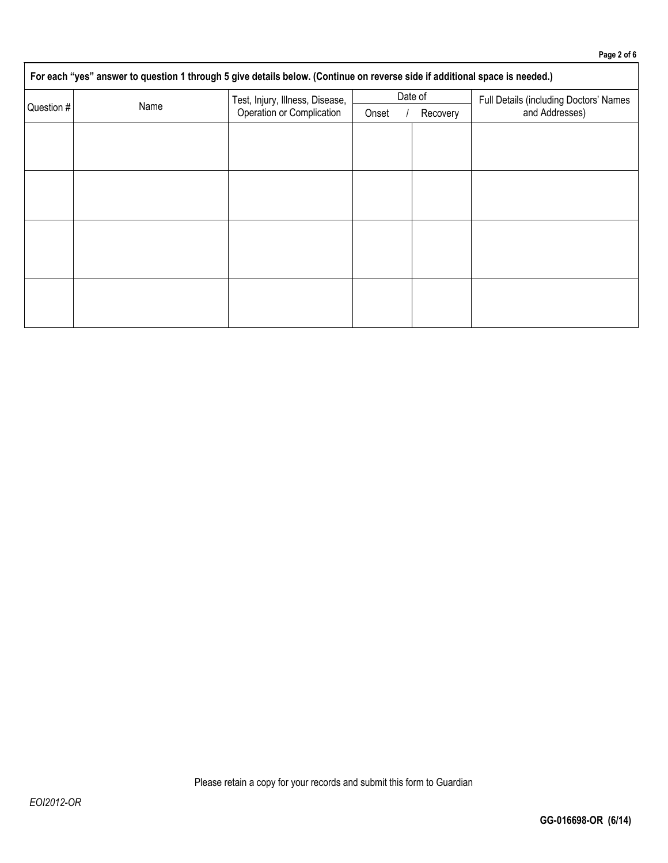# **For each "yes" answer to question 1 through 5 give details below. (Continue on reverse side if additional space is needed.)** Question # Name Test, Injury, Illness, Disease, Operation or Complication Date of Full Details (including Doctors' Names Onset / Recovery | and Addresses)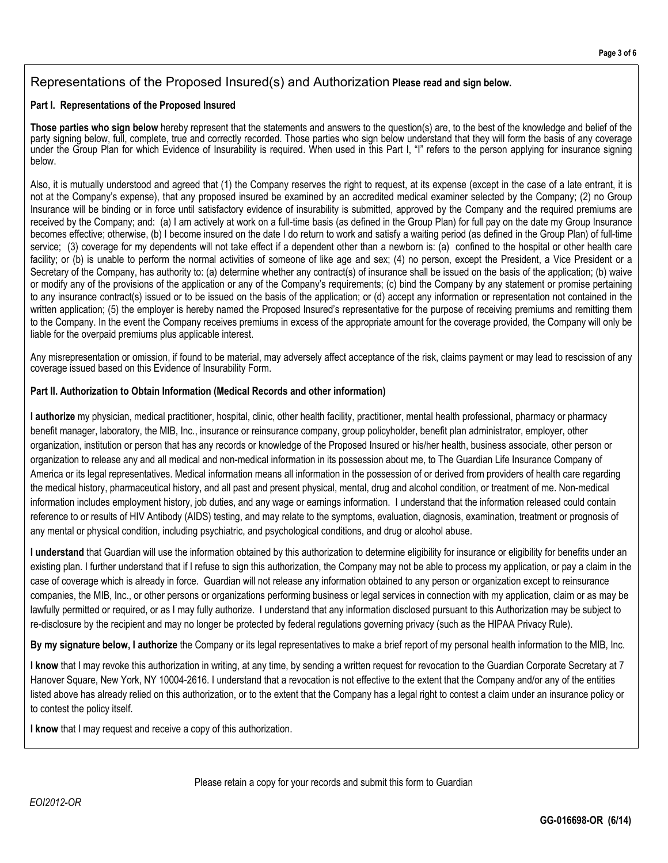## Representations of the Proposed Insured(s) and Authorization **Please read and sign below.**

#### **Part I. Representations of the Proposed Insured**

**Those parties who sign below** hereby represent that the statements and answers to the question(s) are, to the best of the knowledge and belief of the party signing below, full, complete, true and correctly recorded. Those parties who sign below understand that they will form the basis of any coverage under the Group Plan for which Evidence of Insurability is required. When used in this Part I, "I" refers to the person applying for insurance signing below.

Also, it is mutually understood and agreed that (1) the Company reserves the right to request, at its expense (except in the case of a late entrant, it is not at the Company's expense), that any proposed insured be examined by an accredited medical examiner selected by the Company; (2) no Group Insurance will be binding or in force until satisfactory evidence of insurability is submitted, approved by the Company and the required premiums are received by the Company; and: (a) I am actively at work on a full-time basis (as defined in the Group Plan) for full pay on the date my Group Insurance becomes effective; otherwise, (b) I become insured on the date I do return to work and satisfy a waiting period (as defined in the Group Plan) of full-time service; (3) coverage for my dependents will not take effect if a dependent other than a newborn is: (a) confined to the hospital or other health care facility; or (b) is unable to perform the normal activities of someone of like age and sex; (4) no person, except the President, a Vice President or a Secretary of the Company, has authority to: (a) determine whether any contract(s) of insurance shall be issued on the basis of the application; (b) waive or modify any of the provisions of the application or any of the Company's requirements; (c) bind the Company by any statement or promise pertaining to any insurance contract(s) issued or to be issued on the basis of the application; or (d) accept any information or representation not contained in the written application; (5) the employer is hereby named the Proposed Insured's representative for the purpose of receiving premiums and remitting them to the Company. In the event the Company receives premiums in excess of the appropriate amount for the coverage provided, the Company will only be liable for the overpaid premiums plus applicable interest.

Any misrepresentation or omission, if found to be material, may adversely affect acceptance of the risk, claims payment or may lead to rescission of any coverage issued based on this Evidence of Insurability Form.

#### **Part II. Authorization to Obtain Information (Medical Records and other information)**

**I authorize** my physician, medical practitioner, hospital, clinic, other health facility, practitioner, mental health professional, pharmacy or pharmacy benefit manager, laboratory, the MIB, Inc., insurance or reinsurance company, group policyholder, benefit plan administrator, employer, other organization, institution or person that has any records or knowledge of the Proposed Insured or his/her health, business associate, other person or organization to release any and all medical and non-medical information in its possession about me, to The Guardian Life Insurance Company of America or its legal representatives. Medical information means all information in the possession of or derived from providers of health care regarding the medical history, pharmaceutical history, and all past and present physical, mental, drug and alcohol condition, or treatment of me. Non-medical information includes employment history, job duties, and any wage or earnings information. I understand that the information released could contain reference to or results of HIV Antibody (AIDS) testing, and may relate to the symptoms, evaluation, diagnosis, examination, treatment or prognosis of any mental or physical condition, including psychiatric, and psychological conditions, and drug or alcohol abuse.

**I understand** that Guardian will use the information obtained by this authorization to determine eligibility for insurance or eligibility for benefits under an existing plan. I further understand that if I refuse to sign this authorization, the Company may not be able to process my application, or pay a claim in the case of coverage which is already in force. Guardian will not release any information obtained to any person or organization except to reinsurance companies, the MIB, Inc., or other persons or organizations performing business or legal services in connection with my application, claim or as may be lawfully permitted or required, or as I may fully authorize. I understand that any information disclosed pursuant to this Authorization may be subject to re-disclosure by the recipient and may no longer be protected by federal regulations governing privacy (such as the HIPAA Privacy Rule).

**By my signature below, I authorize** the Company or its legal representatives to make a brief report of my personal health information to the MIB, Inc.

**I know** that I may revoke this authorization in writing, at any time, by sending a written request for revocation to the Guardian Corporate Secretary at 7 Hanover Square, New York, NY 10004-2616. I understand that a revocation is not effective to the extent that the Company and/or any of the entities listed above has already relied on this authorization, or to the extent that the Company has a legal right to contest a claim under an insurance policy or to contest the policy itself.

**I know** that I may request and receive a copy of this authorization.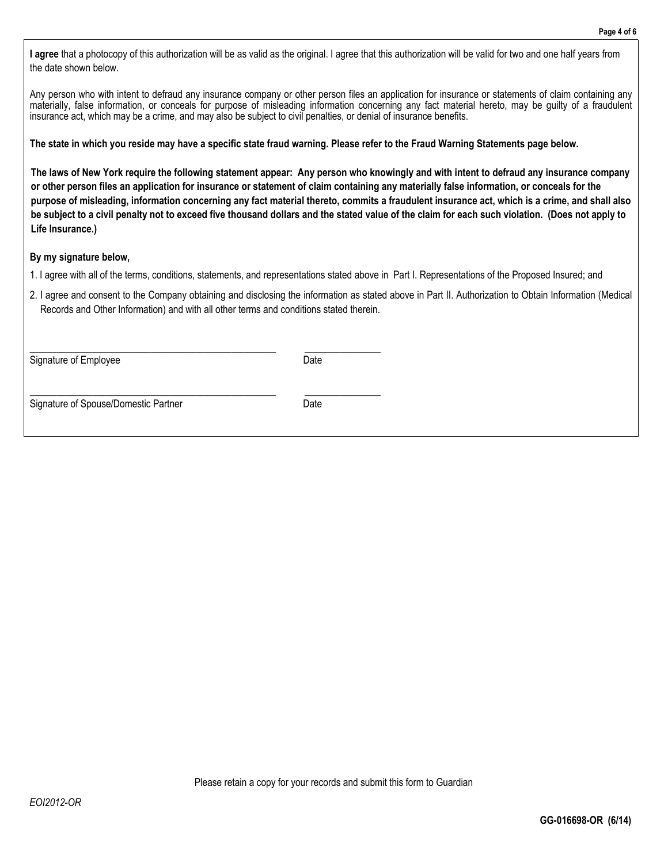**I agree** that a photocopy of this authorization will be as valid as the original. I agree that this authorization will be valid for two and one half years from the date shown below.

Any person who with intent to defraud any insurance company or other person files an application for insurance or statements of claim containing any materially, false information, or conceals for purpose of misleading information concerning any fact material hereto, may be guilty of a fraudulent insurance act, which may be a crime, and may also be subject to civil penalties, or denial of insurance benefits.

**The state in which you reside may have a specific state fraud warning. Please refer to the Fraud Warning Statements page below.** 

**The laws of New York require the following statement appear: Any person who knowingly and with intent to defraud any insurance company or other person files an application for insurance or statement of claim containing any materially false information, or conceals for the purpose of misleading, information concerning any fact material thereto, commits a fraudulent insurance act, which is a crime, and shall also be subject to a civil penalty not to exceed five thousand dollars and the stated value of the claim for each such violation. (Does not apply to Life Insurance.)** 

#### **By my signature below,**

- 1. I agree with all of the terms, conditions, statements, and representations stated above in Part I. Representations of the Proposed Insured; and
- 2. I agree and consent to the Company obtaining and disclosing the information as stated above in Part II. Authorization to Obtain Information (Medical Records and Other Information) and with all other terms and conditions stated therein.

Signature of Employee Date

\_\_\_\_\_\_\_\_\_\_\_\_\_\_\_\_\_\_\_\_\_\_\_\_\_\_\_\_\_\_\_\_\_\_\_\_\_\_\_\_\_\_\_\_\_\_\_\_\_\_\_\_\_\_\_ \_\_\_\_\_\_\_\_\_\_\_\_\_\_\_\_\_

Signature of Spouse/Domestic Partner Date

\_\_\_\_\_\_\_\_\_\_\_\_\_\_\_\_\_\_\_\_\_\_\_\_\_\_\_\_\_\_\_\_\_\_\_\_\_\_\_\_\_\_\_\_\_\_\_\_\_\_\_\_\_\_\_ \_\_\_\_\_\_\_\_\_\_\_\_\_\_\_\_\_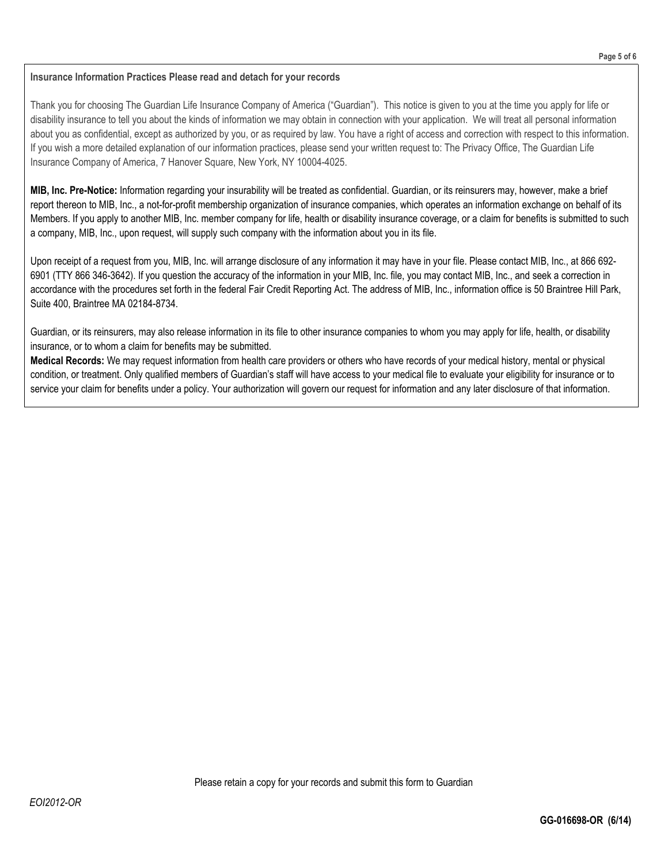#### **Insurance Information Practices Please read and detach for your records**

Thank you for choosing The Guardian Life Insurance Company of America ("Guardian"). This notice is given to you at the time you apply for life or disability insurance to tell you about the kinds of information we may obtain in connection with your application. We will treat all personal information about you as confidential, except as authorized by you, or as required by law. You have a right of access and correction with respect to this information. If you wish a more detailed explanation of our information practices, please send your written request to: The Privacy Office, The Guardian Life Insurance Company of America, 7 Hanover Square, New York, NY 10004-4025.

**MIB, Inc. Pre-Notice:** Information regarding your insurability will be treated as confidential. Guardian, or its reinsurers may, however, make a brief report thereon to MIB, Inc., a not-for-profit membership organization of insurance companies, which operates an information exchange on behalf of its Members. If you apply to another MIB, Inc. member company for life, health or disability insurance coverage, or a claim for benefits is submitted to such a company, MIB, Inc., upon request, will supply such company with the information about you in its file.

Upon receipt of a request from you, MIB, Inc. will arrange disclosure of any information it may have in your file. Please contact MIB, Inc., at 866 692- 6901 (TTY 866 346-3642). If you question the accuracy of the information in your MIB, Inc. file, you may contact MIB, Inc., and seek a correction in accordance with the procedures set forth in the federal Fair Credit Reporting Act. The address of MIB, Inc., information office is 50 Braintree Hill Park, Suite 400, Braintree MA 02184-8734.

Guardian, or its reinsurers, may also release information in its file to other insurance companies to whom you may apply for life, health, or disability insurance, or to whom a claim for benefits may be submitted.

**Medical Records:** We may request information from health care providers or others who have records of your medical history, mental or physical condition, or treatment. Only qualified members of Guardian's staff will have access to your medical file to evaluate your eligibility for insurance or to service your claim for benefits under a policy. Your authorization will govern our request for information and any later disclosure of that information.